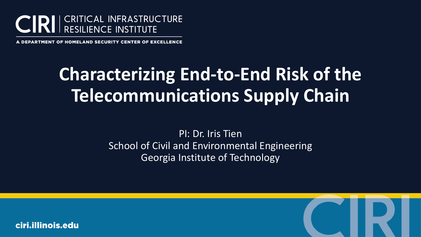

. DEPARTMENT OF HOMELAND SECURITY CENTER OF EXCELLENCE

# **Characterizing End-to-End Risk of the Telecommunications Supply Chain**

PI: Dr. Iris Tien School of Civil and Environmental Engineering Georgia Institute of Technology

ciri.illinois.edu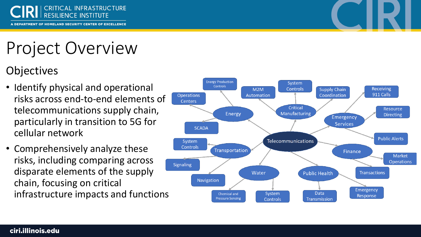

A DEPARTMENT OF HOMELAND SECURITY CENTER OF EXCELLENCE

# Project Overview

#### **Objectives**

- Identify physical and operational risks across end-to-end elements of telecommunications supply chain, particularly in transition to 5G for cellular network
- Comprehensively analyze these risks, including comparing across disparate elements of the supply chain, focusing on critical infrastructure impacts and functions

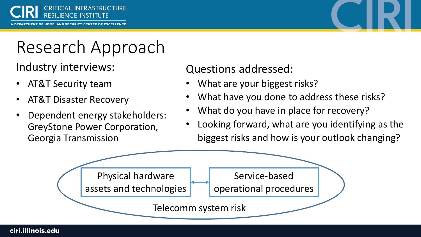



## Research Approach

Industry interviews:

- AT&T Security team
- AT&T Disaster Recovery
- Dependent energy stakeholders: GreyStone Power Corporation, Georgia Transmission

#### Questions addressed:

- What are your biggest risks?
- What have you done to address these risks?
- What do you have in place for recovery?
- Looking forward, what are you identifying as the biggest risks and how is your outlook changing?



#### ciri.illinois.edu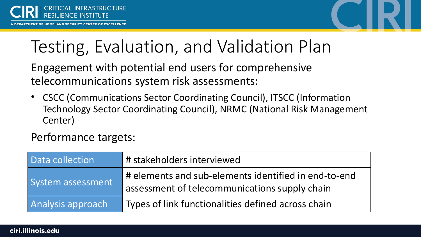

### Testing, Evaluation, and Validation Plan

Engagement with potential end users for comprehensive telecommunications system risk assessments:

• CSCC (Communications Sector Coordinating Council), ITSCC (Information Technology Sector Coordinating Council), NRMC (National Risk Management Center)

Performance targets:

| Data collection   | # stakeholders interviewed                                                                            |
|-------------------|-------------------------------------------------------------------------------------------------------|
| System assessment | # elements and sub-elements identified in end-to-end<br>assessment of telecommunications supply chain |
| Analysis approach | Types of link functionalities defined across chain                                                    |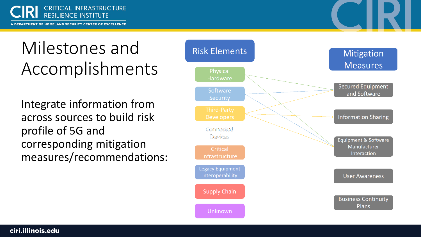

A DEPARTMENT OF HOMELAND SECURITY CENTER OF EXCELLENCE

# Milestones and Accomplishments

Integrate information from across sources to build risk profile of 5G and corresponding mitigation measures/recommendations:

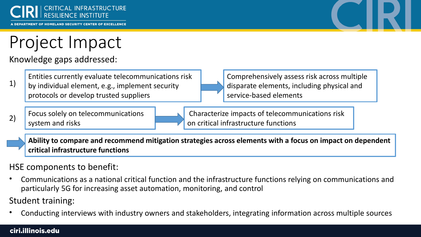



### Project Impact

Knowledge gaps addressed:

Entities currently evaluate telecommunications risk

1) by individual element, e.g., implement security protocols or develop trusted suppliers



Comprehensively assess risk across multiple disparate elements, including physical and service-based elements



Characterize impacts of telecommunications risk on critical infrastructure functions

**Ability to compare and recommend mitigation strategies across elements with a focus on impact on dependent critical infrastructure functions**

#### HSE components to benefit:

• Communications as a national critical function and the infrastructure functions relying on communications and particularly 5G for increasing asset automation, monitoring, and control

Student training:

• Conducting interviews with industry owners and stakeholders, integrating information across multiple sources

#### ciri.illinois.edu